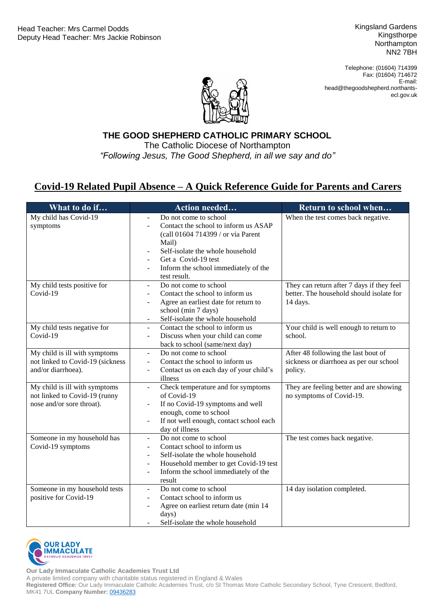Kingsland Gardens Kingsthorpe Northampton NN2 7BH

Telephone: (01604) 714399 Fax: (01604) 714672 E-mail: head@thegoodshepherd.northantsecl.gov.uk



Catholic Diocese of Northampton *"Following Jesus, The Good Shepherd, in all we say and do"***THE GOOD SHEPHERD CATHOLIC PRIMARY SCHOOL** The Catholic Diocese of Northampton

## **Covid-19 Related Pupil Absence – A Quick Reference Guide for Parents and Carers**

| What to do if                                          | Action needed                                                                      | Return to school when                                                                 |
|--------------------------------------------------------|------------------------------------------------------------------------------------|---------------------------------------------------------------------------------------|
| My child has Covid-19                                  | Do not come to school<br>$\overline{a}$                                            | When the test comes back negative.                                                    |
| symptoms                                               | Contact the school to inform us ASAP                                               |                                                                                       |
|                                                        | (call 01604 714399 / or via Parent                                                 |                                                                                       |
|                                                        | Mail)                                                                              |                                                                                       |
|                                                        | Self-isolate the whole household                                                   |                                                                                       |
|                                                        | Get a Covid-19 test                                                                |                                                                                       |
|                                                        | Inform the school immediately of the<br>$\overline{\phantom{a}}$                   |                                                                                       |
|                                                        | test result.<br>Do not come to school                                              |                                                                                       |
| My child tests positive for<br>Covid-19                | $\overline{\phantom{a}}$<br>Contact the school to inform us                        | They can return after 7 days if they feel<br>better. The household should isolate for |
|                                                        | $\overline{\phantom{a}}$<br>Agree an earliest date for return to<br>$\blacksquare$ | 14 days.                                                                              |
|                                                        | school (min 7 days)                                                                |                                                                                       |
|                                                        | Self-isolate the whole household                                                   |                                                                                       |
| My child tests negative for                            | Contact the school to inform us<br>$\blacksquare$                                  | Your child is well enough to return to                                                |
| Covid-19                                               | Discuss when your child can come<br>$\overline{\phantom{a}}$                       | school.                                                                               |
|                                                        | back to school (same/next day)                                                     |                                                                                       |
| My child is ill with symptoms                          | Do not come to school<br>$\blacksquare$                                            | After 48 following the last bout of                                                   |
| not linked to Covid-19 (sickness                       | Contact the school to inform us<br>$\overline{\phantom{a}}$                        | sickness or diarrhoea as per our school                                               |
| and/or diarrhoea).                                     | Contact us on each day of your child's<br>$\qquad \qquad \blacksquare$             | policy.                                                                               |
|                                                        | illness                                                                            |                                                                                       |
| My child is ill with symptoms                          | Check temperature and for symptoms<br>$\equiv$                                     | They are feeling better and are showing                                               |
| not linked to Covid-19 (runny                          | of Covid-19                                                                        | no symptoms of Covid-19.                                                              |
| nose and/or sore throat).                              | If no Covid-19 symptoms and well                                                   |                                                                                       |
|                                                        | enough, come to school                                                             |                                                                                       |
|                                                        | If not well enough, contact school each<br>$\overline{\phantom{a}}$                |                                                                                       |
|                                                        | day of illness                                                                     |                                                                                       |
| Someone in my household has                            | Do not come to school<br>$\blacksquare$                                            | The test comes back negative.                                                         |
| Covid-19 symptoms                                      | Contact school to inform us<br>$\blacksquare$                                      |                                                                                       |
|                                                        | Self-isolate the whole household<br>$\overline{\phantom{a}}$                       |                                                                                       |
|                                                        | Household member to get Covid-19 test<br>$\overline{\phantom{a}}$                  |                                                                                       |
|                                                        | Inform the school immediately of the<br>$\overline{\phantom{a}}$                   |                                                                                       |
|                                                        | result<br>Do not come to school                                                    | 14 day isolation completed.                                                           |
| Someone in my household tests<br>positive for Covid-19 | $\overline{\phantom{a}}$<br>Contact school to inform us<br>$\blacksquare$          |                                                                                       |
|                                                        | Agree on earliest return date (min 14                                              |                                                                                       |
|                                                        | days)                                                                              |                                                                                       |
|                                                        | Self-isolate the whole household                                                   |                                                                                       |



**Our Lady Immaculate Catholic Academies Trust Ltd**

A private limited company with charitable status registered in England & Wales

**Registered Office:** Our Lady Immaculate Catholic Academies Trust, c/o St Thomas More Catholic Secondary School, Tyne Crescent, Bedford, MK41 7UL **Company Number:** [09436283](https://beta.companieshouse.gov.uk/company/09436283)